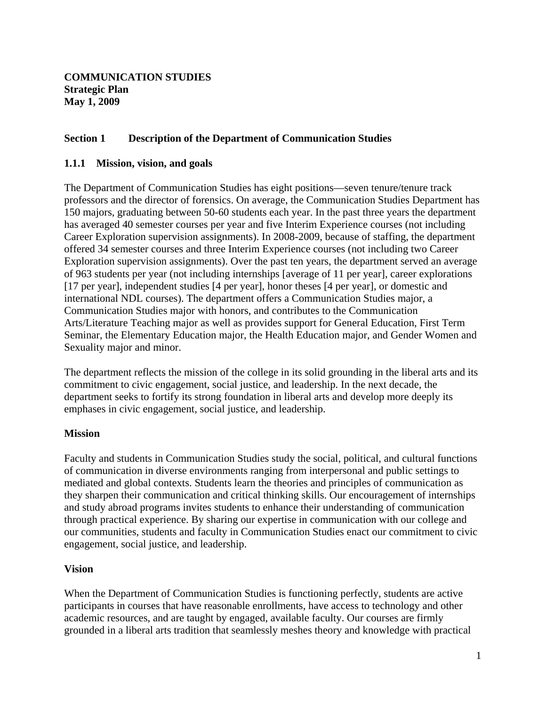## **Section 1 Description of the Department of Communication Studies**

#### **1.1.1 Mission, vision, and goals**

The Department of Communication Studies has eight positions—seven tenure/tenure track professors and the director of forensics. On average, the Communication Studies Department has 150 majors, graduating between 50-60 students each year. In the past three years the department has averaged 40 semester courses per year and five Interim Experience courses (not including Career Exploration supervision assignments). In 2008-2009, because of staffing, the department offered 34 semester courses and three Interim Experience courses (not including two Career Exploration supervision assignments). Over the past ten years, the department served an average of 963 students per year (not including internships [average of 11 per year], career explorations [17 per year], independent studies [4 per year], honor theses [4 per year], or domestic and international NDL courses). The department offers a Communication Studies major, a Communication Studies major with honors, and contributes to the Communication Arts/Literature Teaching major as well as provides support for General Education, First Term Seminar, the Elementary Education major, the Health Education major, and Gender Women and Sexuality major and minor.

The department reflects the mission of the college in its solid grounding in the liberal arts and its commitment to civic engagement, social justice, and leadership. In the next decade, the department seeks to fortify its strong foundation in liberal arts and develop more deeply its emphases in civic engagement, social justice, and leadership.

#### **Mission**

Faculty and students in Communication Studies study the social, political, and cultural functions of communication in diverse environments ranging from interpersonal and public settings to mediated and global contexts. Students learn the theories and principles of communication as they sharpen their communication and critical thinking skills. Our encouragement of internships and study abroad programs invites students to enhance their understanding of communication through practical experience. By sharing our expertise in communication with our college and our communities, students and faculty in Communication Studies enact our commitment to civic engagement, social justice, and leadership.

#### **Vision**

When the Department of Communication Studies is functioning perfectly, students are active participants in courses that have reasonable enrollments, have access to technology and other academic resources, and are taught by engaged, available faculty. Our courses are firmly grounded in a liberal arts tradition that seamlessly meshes theory and knowledge with practical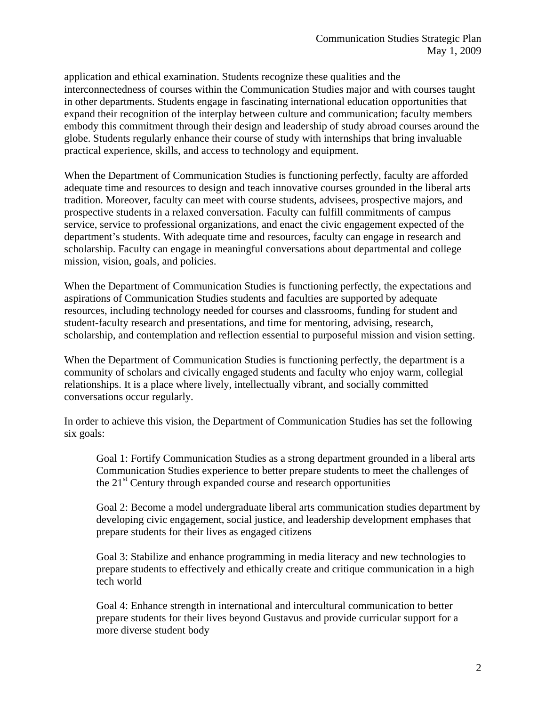application and ethical examination. Students recognize these qualities and the interconnectedness of courses within the Communication Studies major and with courses taught in other departments. Students engage in fascinating international education opportunities that expand their recognition of the interplay between culture and communication; faculty members embody this commitment through their design and leadership of study abroad courses around the globe. Students regularly enhance their course of study with internships that bring invaluable practical experience, skills, and access to technology and equipment.

When the Department of Communication Studies is functioning perfectly, faculty are afforded adequate time and resources to design and teach innovative courses grounded in the liberal arts tradition. Moreover, faculty can meet with course students, advisees, prospective majors, and prospective students in a relaxed conversation. Faculty can fulfill commitments of campus service, service to professional organizations, and enact the civic engagement expected of the department's students. With adequate time and resources, faculty can engage in research and scholarship. Faculty can engage in meaningful conversations about departmental and college mission, vision, goals, and policies.

When the Department of Communication Studies is functioning perfectly, the expectations and aspirations of Communication Studies students and faculties are supported by adequate resources, including technology needed for courses and classrooms, funding for student and student-faculty research and presentations, and time for mentoring, advising, research, scholarship, and contemplation and reflection essential to purposeful mission and vision setting.

When the Department of Communication Studies is functioning perfectly, the department is a community of scholars and civically engaged students and faculty who enjoy warm, collegial relationships. It is a place where lively, intellectually vibrant, and socially committed conversations occur regularly.

In order to achieve this vision, the Department of Communication Studies has set the following six goals:

Goal 1: Fortify Communication Studies as a strong department grounded in a liberal arts Communication Studies experience to better prepare students to meet the challenges of the  $21<sup>st</sup>$  Century through expanded course and research opportunities

Goal 2: Become a model undergraduate liberal arts communication studies department by developing civic engagement, social justice, and leadership development emphases that prepare students for their lives as engaged citizens

Goal 3: Stabilize and enhance programming in media literacy and new technologies to prepare students to effectively and ethically create and critique communication in a high tech world

Goal 4: Enhance strength in international and intercultural communication to better prepare students for their lives beyond Gustavus and provide curricular support for a more diverse student body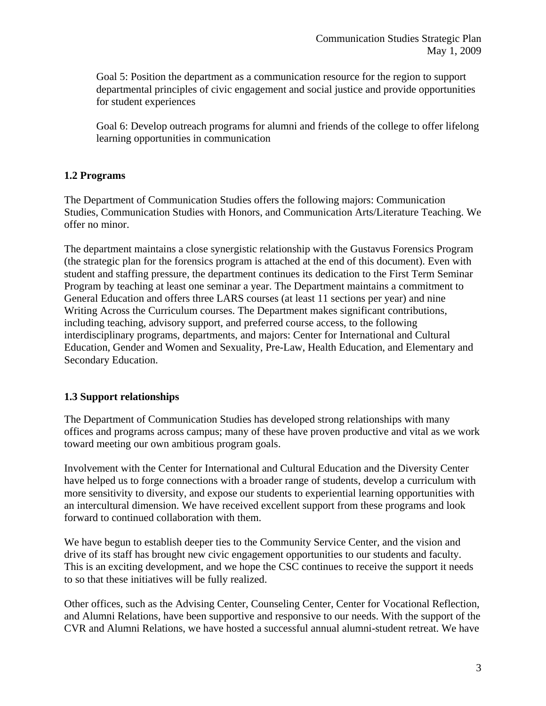Goal 5: Position the department as a communication resource for the region to support departmental principles of civic engagement and social justice and provide opportunities for student experiences

Goal 6: Develop outreach programs for alumni and friends of the college to offer lifelong learning opportunities in communication

## **1.2 Programs**

The Department of Communication Studies offers the following majors: Communication Studies, Communication Studies with Honors, and Communication Arts/Literature Teaching. We offer no minor.

The department maintains a close synergistic relationship with the Gustavus Forensics Program (the strategic plan for the forensics program is attached at the end of this document). Even with student and staffing pressure, the department continues its dedication to the First Term Seminar Program by teaching at least one seminar a year. The Department maintains a commitment to General Education and offers three LARS courses (at least 11 sections per year) and nine Writing Across the Curriculum courses. The Department makes significant contributions, including teaching, advisory support, and preferred course access, to the following interdisciplinary programs, departments, and majors: Center for International and Cultural Education, Gender and Women and Sexuality, Pre-Law, Health Education, and Elementary and Secondary Education.

# **1.3 Support relationships**

The Department of Communication Studies has developed strong relationships with many offices and programs across campus; many of these have proven productive and vital as we work toward meeting our own ambitious program goals.

Involvement with the Center for International and Cultural Education and the Diversity Center have helped us to forge connections with a broader range of students, develop a curriculum with more sensitivity to diversity, and expose our students to experiential learning opportunities with an intercultural dimension. We have received excellent support from these programs and look forward to continued collaboration with them.

We have begun to establish deeper ties to the Community Service Center, and the vision and drive of its staff has brought new civic engagement opportunities to our students and faculty. This is an exciting development, and we hope the CSC continues to receive the support it needs to so that these initiatives will be fully realized.

Other offices, such as the Advising Center, Counseling Center, Center for Vocational Reflection, and Alumni Relations, have been supportive and responsive to our needs. With the support of the CVR and Alumni Relations, we have hosted a successful annual alumni-student retreat. We have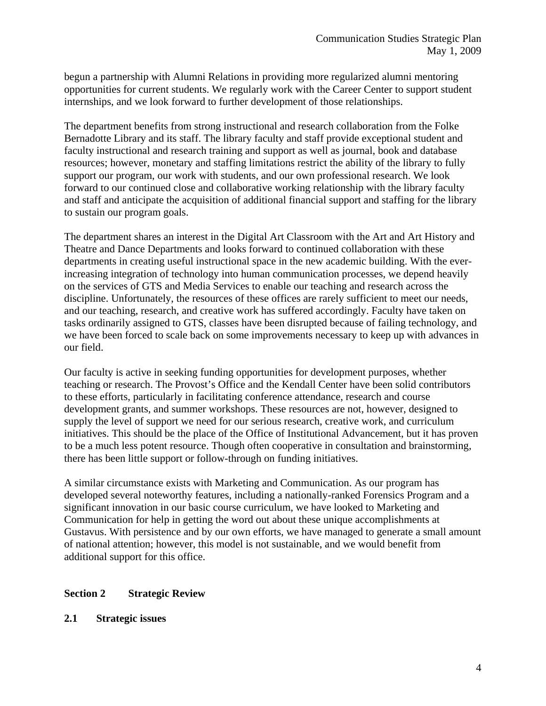begun a partnership with Alumni Relations in providing more regularized alumni mentoring opportunities for current students. We regularly work with the Career Center to support student internships, and we look forward to further development of those relationships.

The department benefits from strong instructional and research collaboration from the Folke Bernadotte Library and its staff. The library faculty and staff provide exceptional student and faculty instructional and research training and support as well as journal, book and database resources; however, monetary and staffing limitations restrict the ability of the library to fully support our program, our work with students, and our own professional research. We look forward to our continued close and collaborative working relationship with the library faculty and staff and anticipate the acquisition of additional financial support and staffing for the library to sustain our program goals.

The department shares an interest in the Digital Art Classroom with the Art and Art History and Theatre and Dance Departments and looks forward to continued collaboration with these departments in creating useful instructional space in the new academic building. With the everincreasing integration of technology into human communication processes, we depend heavily on the services of GTS and Media Services to enable our teaching and research across the discipline. Unfortunately, the resources of these offices are rarely sufficient to meet our needs, and our teaching, research, and creative work has suffered accordingly. Faculty have taken on tasks ordinarily assigned to GTS, classes have been disrupted because of failing technology, and we have been forced to scale back on some improvements necessary to keep up with advances in our field.

Our faculty is active in seeking funding opportunities for development purposes, whether teaching or research. The Provost's Office and the Kendall Center have been solid contributors to these efforts, particularly in facilitating conference attendance, research and course development grants, and summer workshops. These resources are not, however, designed to supply the level of support we need for our serious research, creative work, and curriculum initiatives. This should be the place of the Office of Institutional Advancement, but it has proven to be a much less potent resource. Though often cooperative in consultation and brainstorming, there has been little support or follow-through on funding initiatives.

A similar circumstance exists with Marketing and Communication. As our program has developed several noteworthy features, including a nationally-ranked Forensics Program and a significant innovation in our basic course curriculum, we have looked to Marketing and Communication for help in getting the word out about these unique accomplishments at Gustavus. With persistence and by our own efforts, we have managed to generate a small amount of national attention; however, this model is not sustainable, and we would benefit from additional support for this office.

#### **Section 2 Strategic Review**

**2.1 Strategic issues**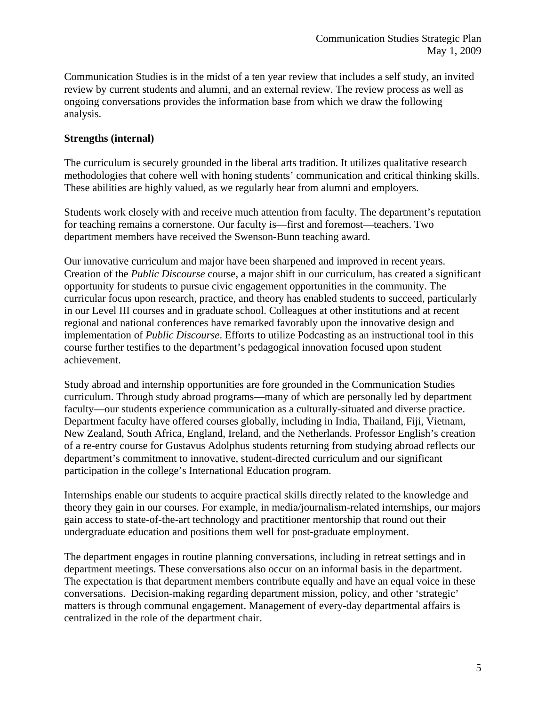Communication Studies is in the midst of a ten year review that includes a self study, an invited review by current students and alumni, and an external review. The review process as well as ongoing conversations provides the information base from which we draw the following analysis.

## **Strengths (internal)**

The curriculum is securely grounded in the liberal arts tradition. It utilizes qualitative research methodologies that cohere well with honing students' communication and critical thinking skills. These abilities are highly valued, as we regularly hear from alumni and employers.

Students work closely with and receive much attention from faculty. The department's reputation for teaching remains a cornerstone. Our faculty is—first and foremost—teachers. Two department members have received the Swenson-Bunn teaching award.

Our innovative curriculum and major have been sharpened and improved in recent years. Creation of the *Public Discourse* course, a major shift in our curriculum, has created a significant opportunity for students to pursue civic engagement opportunities in the community. The curricular focus upon research, practice, and theory has enabled students to succeed, particularly in our Level III courses and in graduate school. Colleagues at other institutions and at recent regional and national conferences have remarked favorably upon the innovative design and implementation of *Public Discourse*. Efforts to utilize Podcasting as an instructional tool in this course further testifies to the department's pedagogical innovation focused upon student achievement.

Study abroad and internship opportunities are fore grounded in the Communication Studies curriculum. Through study abroad programs—many of which are personally led by department faculty—our students experience communication as a culturally-situated and diverse practice. Department faculty have offered courses globally, including in India, Thailand, Fiji, Vietnam, New Zealand, South Africa, England, Ireland, and the Netherlands. Professor English's creation of a re-entry course for Gustavus Adolphus students returning from studying abroad reflects our department's commitment to innovative, student-directed curriculum and our significant participation in the college's International Education program.

Internships enable our students to acquire practical skills directly related to the knowledge and theory they gain in our courses. For example, in media/journalism-related internships, our majors gain access to state-of-the-art technology and practitioner mentorship that round out their undergraduate education and positions them well for post-graduate employment.

The department engages in routine planning conversations, including in retreat settings and in department meetings. These conversations also occur on an informal basis in the department. The expectation is that department members contribute equally and have an equal voice in these conversations. Decision-making regarding department mission, policy, and other 'strategic' matters is through communal engagement. Management of every-day departmental affairs is centralized in the role of the department chair.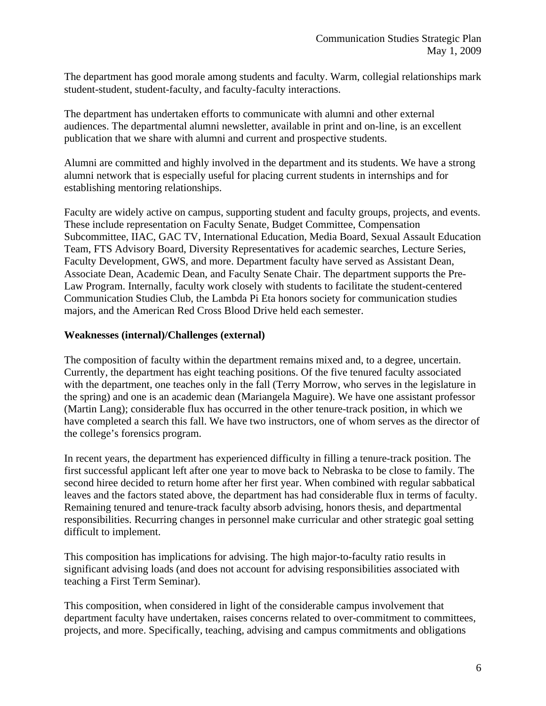The department has good morale among students and faculty. Warm, collegial relationships mark student-student, student-faculty, and faculty-faculty interactions.

The department has undertaken efforts to communicate with alumni and other external audiences. The departmental alumni newsletter, available in print and on-line, is an excellent publication that we share with alumni and current and prospective students.

Alumni are committed and highly involved in the department and its students. We have a strong alumni network that is especially useful for placing current students in internships and for establishing mentoring relationships.

Faculty are widely active on campus, supporting student and faculty groups, projects, and events. These include representation on Faculty Senate, Budget Committee, Compensation Subcommittee, IIAC, GAC TV, International Education, Media Board, Sexual Assault Education Team, FTS Advisory Board, Diversity Representatives for academic searches, Lecture Series, Faculty Development, GWS, and more. Department faculty have served as Assistant Dean, Associate Dean, Academic Dean, and Faculty Senate Chair. The department supports the Pre-Law Program. Internally, faculty work closely with students to facilitate the student-centered Communication Studies Club, the Lambda Pi Eta honors society for communication studies majors, and the American Red Cross Blood Drive held each semester.

## **Weaknesses (internal)/Challenges (external)**

The composition of faculty within the department remains mixed and, to a degree, uncertain. Currently, the department has eight teaching positions. Of the five tenured faculty associated with the department, one teaches only in the fall (Terry Morrow, who serves in the legislature in the spring) and one is an academic dean (Mariangela Maguire). We have one assistant professor (Martin Lang); considerable flux has occurred in the other tenure-track position, in which we have completed a search this fall. We have two instructors, one of whom serves as the director of the college's forensics program.

In recent years, the department has experienced difficulty in filling a tenure-track position. The first successful applicant left after one year to move back to Nebraska to be close to family. The second hiree decided to return home after her first year. When combined with regular sabbatical leaves and the factors stated above, the department has had considerable flux in terms of faculty. Remaining tenured and tenure-track faculty absorb advising, honors thesis, and departmental responsibilities. Recurring changes in personnel make curricular and other strategic goal setting difficult to implement.

This composition has implications for advising. The high major-to-faculty ratio results in significant advising loads (and does not account for advising responsibilities associated with teaching a First Term Seminar).

This composition, when considered in light of the considerable campus involvement that department faculty have undertaken, raises concerns related to over-commitment to committees, projects, and more. Specifically, teaching, advising and campus commitments and obligations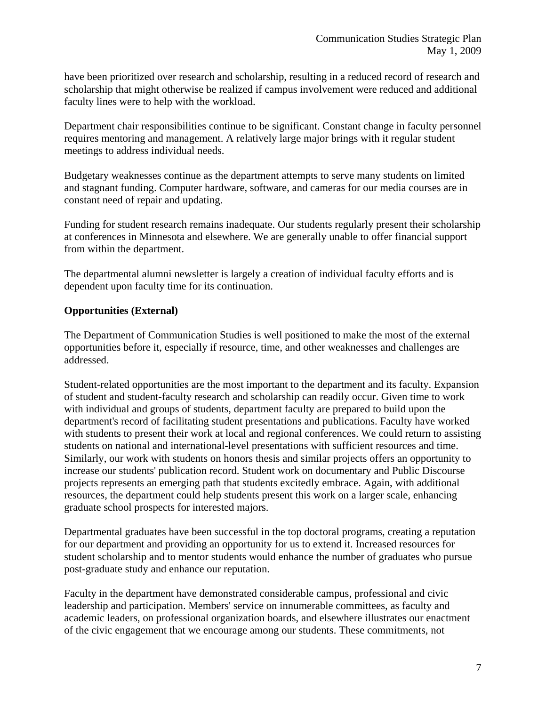have been prioritized over research and scholarship, resulting in a reduced record of research and scholarship that might otherwise be realized if campus involvement were reduced and additional faculty lines were to help with the workload.

Department chair responsibilities continue to be significant. Constant change in faculty personnel requires mentoring and management. A relatively large major brings with it regular student meetings to address individual needs.

Budgetary weaknesses continue as the department attempts to serve many students on limited and stagnant funding. Computer hardware, software, and cameras for our media courses are in constant need of repair and updating.

Funding for student research remains inadequate. Our students regularly present their scholarship at conferences in Minnesota and elsewhere. We are generally unable to offer financial support from within the department.

The departmental alumni newsletter is largely a creation of individual faculty efforts and is dependent upon faculty time for its continuation.

# **Opportunities (External)**

The Department of Communication Studies is well positioned to make the most of the external opportunities before it, especially if resource, time, and other weaknesses and challenges are addressed.

Student-related opportunities are the most important to the department and its faculty. Expansion of student and student-faculty research and scholarship can readily occur. Given time to work with individual and groups of students, department faculty are prepared to build upon the department's record of facilitating student presentations and publications. Faculty have worked with students to present their work at local and regional conferences. We could return to assisting students on national and international-level presentations with sufficient resources and time. Similarly, our work with students on honors thesis and similar projects offers an opportunity to increase our students' publication record. Student work on documentary and Public Discourse projects represents an emerging path that students excitedly embrace. Again, with additional resources, the department could help students present this work on a larger scale, enhancing graduate school prospects for interested majors.

Departmental graduates have been successful in the top doctoral programs, creating a reputation for our department and providing an opportunity for us to extend it. Increased resources for student scholarship and to mentor students would enhance the number of graduates who pursue post-graduate study and enhance our reputation.

Faculty in the department have demonstrated considerable campus, professional and civic leadership and participation. Members' service on innumerable committees, as faculty and academic leaders, on professional organization boards, and elsewhere illustrates our enactment of the civic engagement that we encourage among our students. These commitments, not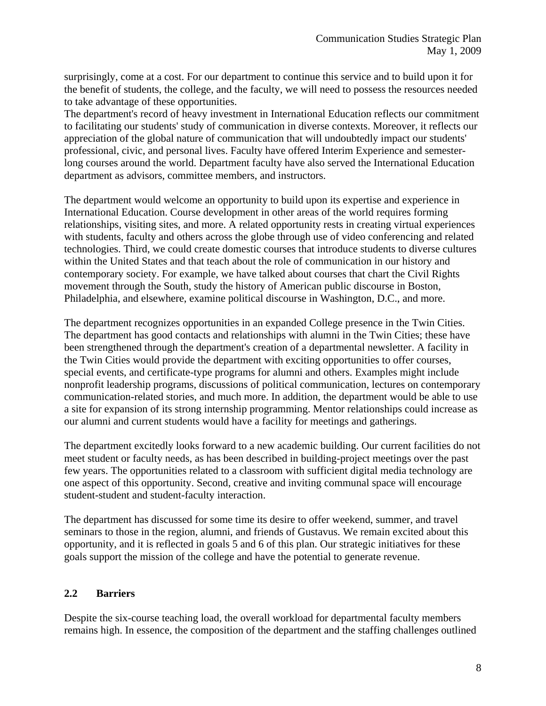surprisingly, come at a cost. For our department to continue this service and to build upon it for the benefit of students, the college, and the faculty, we will need to possess the resources needed to take advantage of these opportunities.

The department's record of heavy investment in International Education reflects our commitment to facilitating our students' study of communication in diverse contexts. Moreover, it reflects our appreciation of the global nature of communication that will undoubtedly impact our students' professional, civic, and personal lives. Faculty have offered Interim Experience and semesterlong courses around the world. Department faculty have also served the International Education department as advisors, committee members, and instructors.

The department would welcome an opportunity to build upon its expertise and experience in International Education. Course development in other areas of the world requires forming relationships, visiting sites, and more. A related opportunity rests in creating virtual experiences with students, faculty and others across the globe through use of video conferencing and related technologies. Third, we could create domestic courses that introduce students to diverse cultures within the United States and that teach about the role of communication in our history and contemporary society. For example, we have talked about courses that chart the Civil Rights movement through the South, study the history of American public discourse in Boston, Philadelphia, and elsewhere, examine political discourse in Washington, D.C., and more.

The department recognizes opportunities in an expanded College presence in the Twin Cities. The department has good contacts and relationships with alumni in the Twin Cities; these have been strengthened through the department's creation of a departmental newsletter. A facility in the Twin Cities would provide the department with exciting opportunities to offer courses, special events, and certificate-type programs for alumni and others. Examples might include nonprofit leadership programs, discussions of political communication, lectures on contemporary communication-related stories, and much more. In addition, the department would be able to use a site for expansion of its strong internship programming. Mentor relationships could increase as our alumni and current students would have a facility for meetings and gatherings.

The department excitedly looks forward to a new academic building. Our current facilities do not meet student or faculty needs, as has been described in building-project meetings over the past few years. The opportunities related to a classroom with sufficient digital media technology are one aspect of this opportunity. Second, creative and inviting communal space will encourage student-student and student-faculty interaction.

The department has discussed for some time its desire to offer weekend, summer, and travel seminars to those in the region, alumni, and friends of Gustavus. We remain excited about this opportunity, and it is reflected in goals 5 and 6 of this plan. Our strategic initiatives for these goals support the mission of the college and have the potential to generate revenue.

# **2.2 Barriers**

Despite the six-course teaching load, the overall workload for departmental faculty members remains high. In essence, the composition of the department and the staffing challenges outlined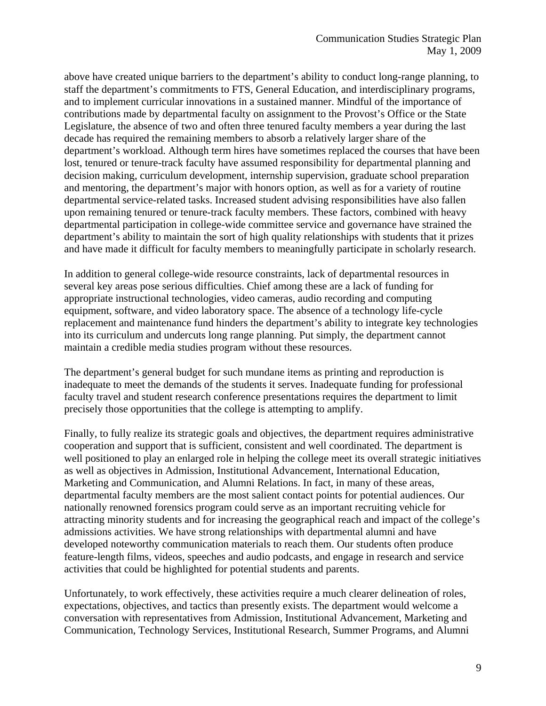above have created unique barriers to the department's ability to conduct long-range planning, to staff the department's commitments to FTS, General Education, and interdisciplinary programs, and to implement curricular innovations in a sustained manner. Mindful of the importance of contributions made by departmental faculty on assignment to the Provost's Office or the State Legislature, the absence of two and often three tenured faculty members a year during the last decade has required the remaining members to absorb a relatively larger share of the department's workload. Although term hires have sometimes replaced the courses that have been lost, tenured or tenure-track faculty have assumed responsibility for departmental planning and decision making, curriculum development, internship supervision, graduate school preparation and mentoring, the department's major with honors option, as well as for a variety of routine departmental service-related tasks. Increased student advising responsibilities have also fallen upon remaining tenured or tenure-track faculty members. These factors, combined with heavy departmental participation in college-wide committee service and governance have strained the department's ability to maintain the sort of high quality relationships with students that it prizes and have made it difficult for faculty members to meaningfully participate in scholarly research.

In addition to general college-wide resource constraints, lack of departmental resources in several key areas pose serious difficulties. Chief among these are a lack of funding for appropriate instructional technologies, video cameras, audio recording and computing equipment, software, and video laboratory space. The absence of a technology life-cycle replacement and maintenance fund hinders the department's ability to integrate key technologies into its curriculum and undercuts long range planning. Put simply, the department cannot maintain a credible media studies program without these resources.

The department's general budget for such mundane items as printing and reproduction is inadequate to meet the demands of the students it serves. Inadequate funding for professional faculty travel and student research conference presentations requires the department to limit precisely those opportunities that the college is attempting to amplify.

Finally, to fully realize its strategic goals and objectives, the department requires administrative cooperation and support that is sufficient, consistent and well coordinated. The department is well positioned to play an enlarged role in helping the college meet its overall strategic initiatives as well as objectives in Admission, Institutional Advancement, International Education, Marketing and Communication, and Alumni Relations. In fact, in many of these areas, departmental faculty members are the most salient contact points for potential audiences. Our nationally renowned forensics program could serve as an important recruiting vehicle for attracting minority students and for increasing the geographical reach and impact of the college's admissions activities. We have strong relationships with departmental alumni and have developed noteworthy communication materials to reach them. Our students often produce feature-length films, videos, speeches and audio podcasts, and engage in research and service activities that could be highlighted for potential students and parents.

Unfortunately, to work effectively, these activities require a much clearer delineation of roles, expectations, objectives, and tactics than presently exists. The department would welcome a conversation with representatives from Admission, Institutional Advancement, Marketing and Communication, Technology Services, Institutional Research, Summer Programs, and Alumni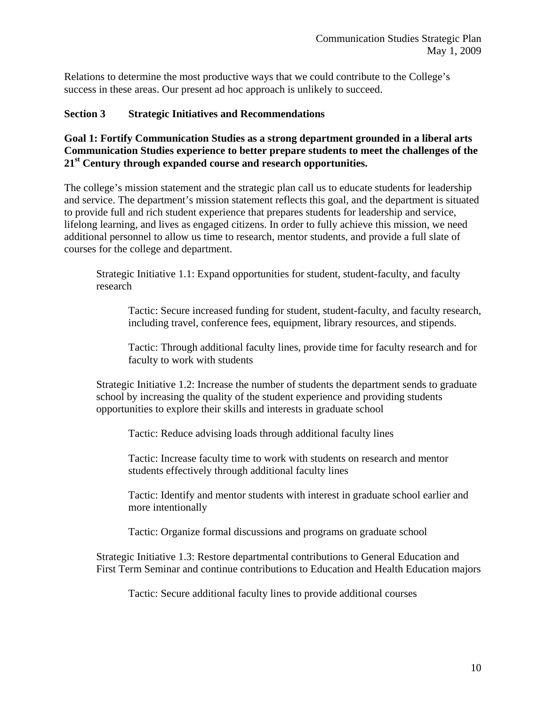Relations to determine the most productive ways that we could contribute to the College's success in these areas. Our present ad hoc approach is unlikely to succeed.

#### **Section 3 Strategic Initiatives and Recommendations**

## **Goal 1: Fortify Communication Studies as a strong department grounded in a liberal arts Communication Studies experience to better prepare students to meet the challenges of the 21st Century through expanded course and research opportunities.**

The college's mission statement and the strategic plan call us to educate students for leadership and service. The department's mission statement reflects this goal, and the department is situated to provide full and rich student experience that prepares students for leadership and service, lifelong learning, and lives as engaged citizens. In order to fully achieve this mission, we need additional personnel to allow us time to research, mentor students, and provide a full slate of courses for the college and department.

Strategic Initiative 1.1: Expand opportunities for student, student-faculty, and faculty research

Tactic: Secure increased funding for student, student-faculty, and faculty research, including travel, conference fees, equipment, library resources, and stipends.

Tactic: Through additional faculty lines, provide time for faculty research and for faculty to work with students

Strategic Initiative 1.2: Increase the number of students the department sends to graduate school by increasing the quality of the student experience and providing students opportunities to explore their skills and interests in graduate school

Tactic: Reduce advising loads through additional faculty lines

Tactic: Increase faculty time to work with students on research and mentor students effectively through additional faculty lines

Tactic: Identify and mentor students with interest in graduate school earlier and more intentionally

Tactic: Organize formal discussions and programs on graduate school

Strategic Initiative 1.3: Restore departmental contributions to General Education and First Term Seminar and continue contributions to Education and Health Education majors

Tactic: Secure additional faculty lines to provide additional courses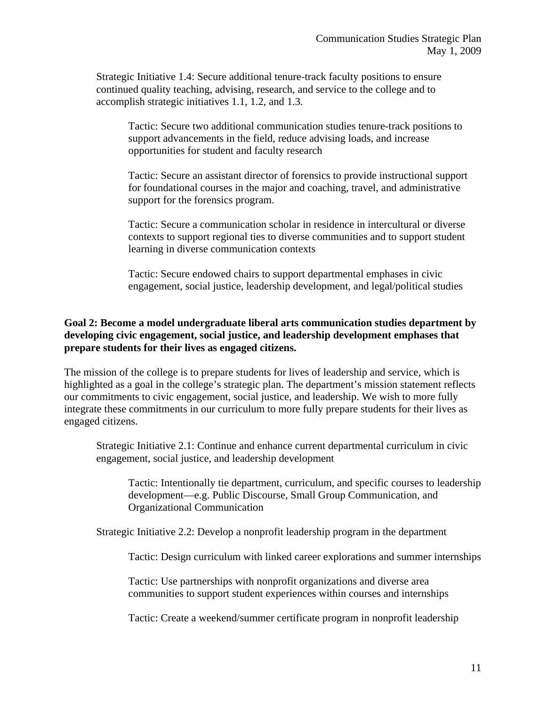Strategic Initiative 1.4: Secure additional tenure-track faculty positions to ensure continued quality teaching, advising, research, and service to the college and to accomplish strategic initiatives 1.1, 1.2, and 1.3.

Tactic: Secure two additional communication studies tenure-track positions to support advancements in the field, reduce advising loads, and increase opportunities for student and faculty research

Tactic: Secure an assistant director of forensics to provide instructional support for foundational courses in the major and coaching, travel, and administrative support for the forensics program.

Tactic: Secure a communication scholar in residence in intercultural or diverse contexts to support regional ties to diverse communities and to support student learning in diverse communication contexts

Tactic: Secure endowed chairs to support departmental emphases in civic engagement, social justice, leadership development, and legal/political studies

# **Goal 2: Become a model undergraduate liberal arts communication studies department by developing civic engagement, social justice, and leadership development emphases that prepare students for their lives as engaged citizens.**

The mission of the college is to prepare students for lives of leadership and service, which is highlighted as a goal in the college's strategic plan. The department's mission statement reflects our commitments to civic engagement, social justice, and leadership. We wish to more fully integrate these commitments in our curriculum to more fully prepare students for their lives as engaged citizens.

Strategic Initiative 2.1: Continue and enhance current departmental curriculum in civic engagement, social justice, and leadership development

Tactic: Intentionally tie department, curriculum, and specific courses to leadership development—e.g. Public Discourse, Small Group Communication, and Organizational Communication

Strategic Initiative 2.2: Develop a nonprofit leadership program in the department

Tactic: Design curriculum with linked career explorations and summer internships

Tactic: Use partnerships with nonprofit organizations and diverse area communities to support student experiences within courses and internships

Tactic: Create a weekend/summer certificate program in nonprofit leadership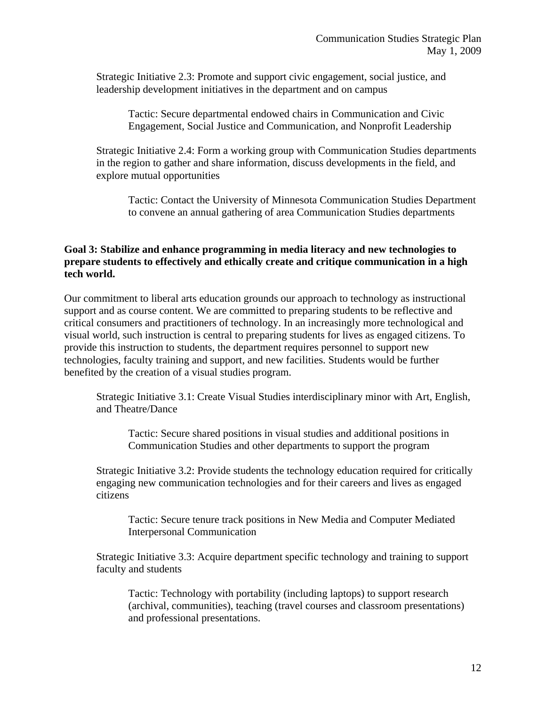Strategic Initiative 2.3: Promote and support civic engagement, social justice, and leadership development initiatives in the department and on campus

Tactic: Secure departmental endowed chairs in Communication and Civic Engagement, Social Justice and Communication, and Nonprofit Leadership

Strategic Initiative 2.4: Form a working group with Communication Studies departments in the region to gather and share information, discuss developments in the field, and explore mutual opportunities

Tactic: Contact the University of Minnesota Communication Studies Department to convene an annual gathering of area Communication Studies departments

## **Goal 3: Stabilize and enhance programming in media literacy and new technologies to prepare students to effectively and ethically create and critique communication in a high tech world.**

Our commitment to liberal arts education grounds our approach to technology as instructional support and as course content. We are committed to preparing students to be reflective and critical consumers and practitioners of technology. In an increasingly more technological and visual world, such instruction is central to preparing students for lives as engaged citizens. To provide this instruction to students, the department requires personnel to support new technologies, faculty training and support, and new facilities. Students would be further benefited by the creation of a visual studies program.

Strategic Initiative 3.1: Create Visual Studies interdisciplinary minor with Art, English, and Theatre/Dance

Tactic: Secure shared positions in visual studies and additional positions in Communication Studies and other departments to support the program

Strategic Initiative 3.2: Provide students the technology education required for critically engaging new communication technologies and for their careers and lives as engaged citizens

Tactic: Secure tenure track positions in New Media and Computer Mediated Interpersonal Communication

Strategic Initiative 3.3: Acquire department specific technology and training to support faculty and students

Tactic: Technology with portability (including laptops) to support research (archival, communities), teaching (travel courses and classroom presentations) and professional presentations.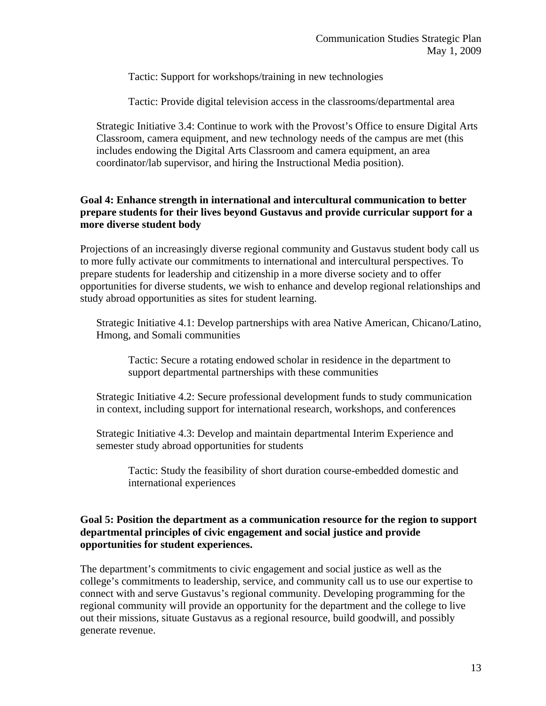Tactic: Support for workshops/training in new technologies

Tactic: Provide digital television access in the classrooms/departmental area

Strategic Initiative 3.4: Continue to work with the Provost's Office to ensure Digital Arts Classroom, camera equipment, and new technology needs of the campus are met (this includes endowing the Digital Arts Classroom and camera equipment, an area coordinator/lab supervisor, and hiring the Instructional Media position).

# **Goal 4: Enhance strength in international and intercultural communication to better prepare students for their lives beyond Gustavus and provide curricular support for a more diverse student body**

Projections of an increasingly diverse regional community and Gustavus student body call us to more fully activate our commitments to international and intercultural perspectives. To prepare students for leadership and citizenship in a more diverse society and to offer opportunities for diverse students, we wish to enhance and develop regional relationships and study abroad opportunities as sites for student learning.

Strategic Initiative 4.1: Develop partnerships with area Native American, Chicano/Latino, Hmong, and Somali communities

Tactic: Secure a rotating endowed scholar in residence in the department to support departmental partnerships with these communities

Strategic Initiative 4.2: Secure professional development funds to study communication in context, including support for international research, workshops, and conferences

Strategic Initiative 4.3: Develop and maintain departmental Interim Experience and semester study abroad opportunities for students

Tactic: Study the feasibility of short duration course-embedded domestic and international experiences

## **Goal 5: Position the department as a communication resource for the region to support departmental principles of civic engagement and social justice and provide opportunities for student experiences.**

The department's commitments to civic engagement and social justice as well as the college's commitments to leadership, service, and community call us to use our expertise to connect with and serve Gustavus's regional community. Developing programming for the regional community will provide an opportunity for the department and the college to live out their missions, situate Gustavus as a regional resource, build goodwill, and possibly generate revenue.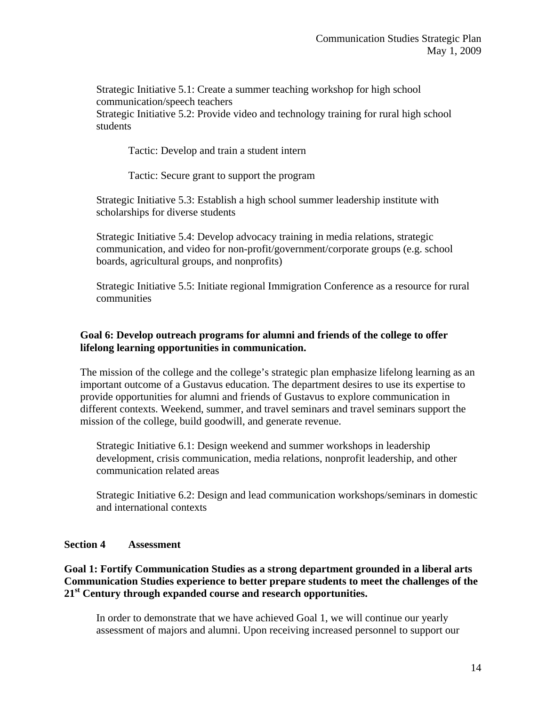Strategic Initiative 5.1: Create a summer teaching workshop for high school communication/speech teachers Strategic Initiative 5.2: Provide video and technology training for rural high school students

Tactic: Develop and train a student intern

Tactic: Secure grant to support the program

Strategic Initiative 5.3: Establish a high school summer leadership institute with scholarships for diverse students

Strategic Initiative 5.4: Develop advocacy training in media relations, strategic communication, and video for non-profit/government/corporate groups (e.g. school boards, agricultural groups, and nonprofits)

Strategic Initiative 5.5: Initiate regional Immigration Conference as a resource for rural communities

## **Goal 6: Develop outreach programs for alumni and friends of the college to offer lifelong learning opportunities in communication.**

The mission of the college and the college's strategic plan emphasize lifelong learning as an important outcome of a Gustavus education. The department desires to use its expertise to provide opportunities for alumni and friends of Gustavus to explore communication in different contexts. Weekend, summer, and travel seminars and travel seminars support the mission of the college, build goodwill, and generate revenue.

Strategic Initiative 6.1: Design weekend and summer workshops in leadership development, crisis communication, media relations, nonprofit leadership, and other communication related areas

Strategic Initiative 6.2: Design and lead communication workshops/seminars in domestic and international contexts

#### **Section 4 Assessment**

## **Goal 1: Fortify Communication Studies as a strong department grounded in a liberal arts Communication Studies experience to better prepare students to meet the challenges of the 21st Century through expanded course and research opportunities.**

In order to demonstrate that we have achieved Goal 1, we will continue our yearly assessment of majors and alumni. Upon receiving increased personnel to support our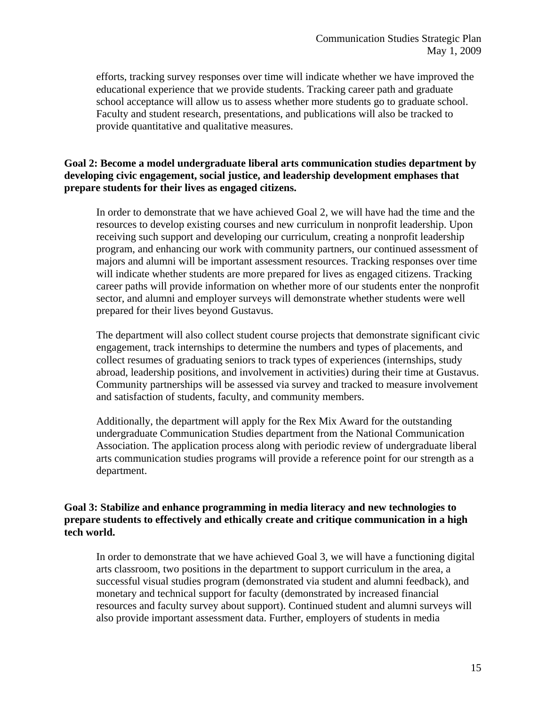efforts, tracking survey responses over time will indicate whether we have improved the educational experience that we provide students. Tracking career path and graduate school acceptance will allow us to assess whether more students go to graduate school. Faculty and student research, presentations, and publications will also be tracked to provide quantitative and qualitative measures.

## **Goal 2: Become a model undergraduate liberal arts communication studies department by developing civic engagement, social justice, and leadership development emphases that prepare students for their lives as engaged citizens.**

In order to demonstrate that we have achieved Goal 2, we will have had the time and the resources to develop existing courses and new curriculum in nonprofit leadership. Upon receiving such support and developing our curriculum, creating a nonprofit leadership program, and enhancing our work with community partners, our continued assessment of majors and alumni will be important assessment resources. Tracking responses over time will indicate whether students are more prepared for lives as engaged citizens. Tracking career paths will provide information on whether more of our students enter the nonprofit sector, and alumni and employer surveys will demonstrate whether students were well prepared for their lives beyond Gustavus.

The department will also collect student course projects that demonstrate significant civic engagement, track internships to determine the numbers and types of placements, and collect resumes of graduating seniors to track types of experiences (internships, study abroad, leadership positions, and involvement in activities) during their time at Gustavus. Community partnerships will be assessed via survey and tracked to measure involvement and satisfaction of students, faculty, and community members.

Additionally, the department will apply for the Rex Mix Award for the outstanding undergraduate Communication Studies department from the National Communication Association. The application process along with periodic review of undergraduate liberal arts communication studies programs will provide a reference point for our strength as a department.

## **Goal 3: Stabilize and enhance programming in media literacy and new technologies to prepare students to effectively and ethically create and critique communication in a high tech world.**

In order to demonstrate that we have achieved Goal 3, we will have a functioning digital arts classroom, two positions in the department to support curriculum in the area, a successful visual studies program (demonstrated via student and alumni feedback), and monetary and technical support for faculty (demonstrated by increased financial resources and faculty survey about support). Continued student and alumni surveys will also provide important assessment data. Further, employers of students in media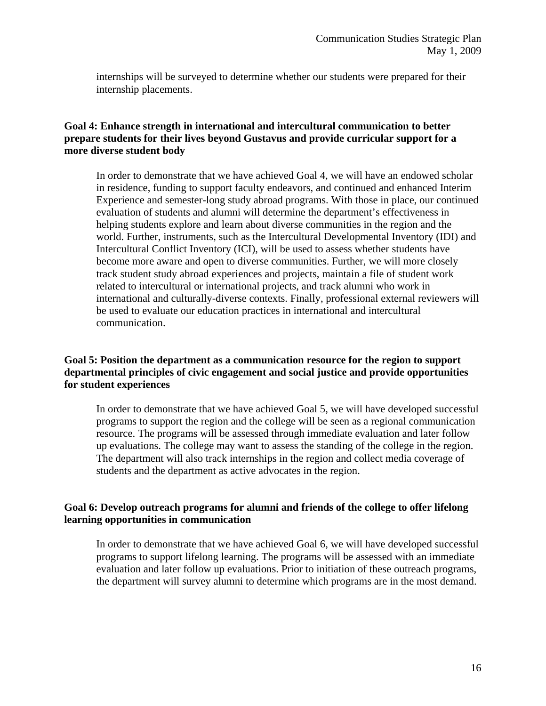internships will be surveyed to determine whether our students were prepared for their internship placements.

## **Goal 4: Enhance strength in international and intercultural communication to better prepare students for their lives beyond Gustavus and provide curricular support for a more diverse student body**

In order to demonstrate that we have achieved Goal 4, we will have an endowed scholar in residence, funding to support faculty endeavors, and continued and enhanced Interim Experience and semester-long study abroad programs. With those in place, our continued evaluation of students and alumni will determine the department's effectiveness in helping students explore and learn about diverse communities in the region and the world. Further, instruments, such as the Intercultural Developmental Inventory (IDI) and Intercultural Conflict Inventory (ICI), will be used to assess whether students have become more aware and open to diverse communities. Further, we will more closely track student study abroad experiences and projects, maintain a file of student work related to intercultural or international projects, and track alumni who work in international and culturally-diverse contexts. Finally, professional external reviewers will be used to evaluate our education practices in international and intercultural communication.

## **Goal 5: Position the department as a communication resource for the region to support departmental principles of civic engagement and social justice and provide opportunities for student experiences**

In order to demonstrate that we have achieved Goal 5, we will have developed successful programs to support the region and the college will be seen as a regional communication resource. The programs will be assessed through immediate evaluation and later follow up evaluations. The college may want to assess the standing of the college in the region. The department will also track internships in the region and collect media coverage of students and the department as active advocates in the region.

# **Goal 6: Develop outreach programs for alumni and friends of the college to offer lifelong learning opportunities in communication**

In order to demonstrate that we have achieved Goal 6, we will have developed successful programs to support lifelong learning. The programs will be assessed with an immediate evaluation and later follow up evaluations. Prior to initiation of these outreach programs, the department will survey alumni to determine which programs are in the most demand.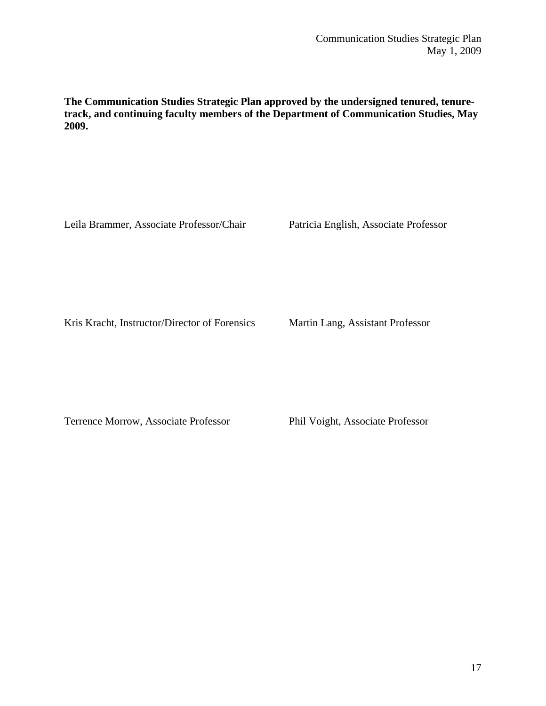**The Communication Studies Strategic Plan approved by the undersigned tenured, tenuretrack, and continuing faculty members of the Department of Communication Studies, May 2009.** 

Leila Brammer, Associate Professor/Chair Patricia English, Associate Professor

Kris Kracht, Instructor/Director of Forensics Martin Lang, Assistant Professor

Terrence Morrow, Associate Professor Phil Voight, Associate Professor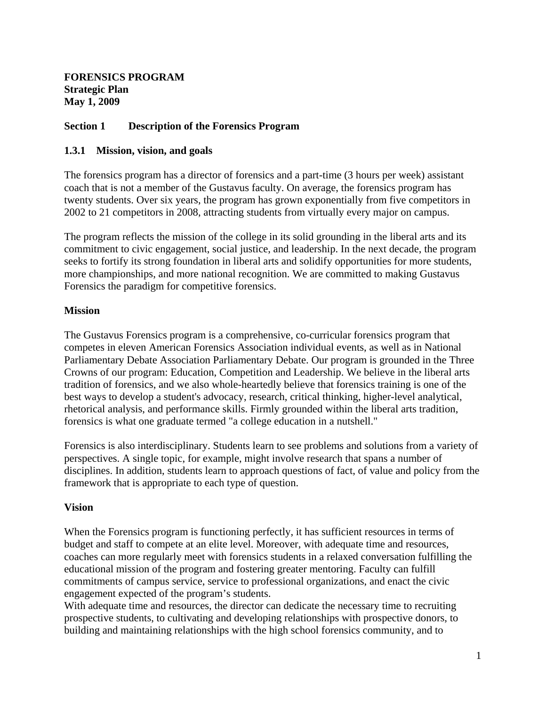**FORENSICS PROGRAM Strategic Plan May 1, 2009**

## **Section 1 Description of the Forensics Program**

#### **1.3.1 Mission, vision, and goals**

The forensics program has a director of forensics and a part-time (3 hours per week) assistant coach that is not a member of the Gustavus faculty. On average, the forensics program has twenty students. Over six years, the program has grown exponentially from five competitors in 2002 to 21 competitors in 2008, attracting students from virtually every major on campus.

The program reflects the mission of the college in its solid grounding in the liberal arts and its commitment to civic engagement, social justice, and leadership. In the next decade, the program seeks to fortify its strong foundation in liberal arts and solidify opportunities for more students, more championships, and more national recognition. We are committed to making Gustavus Forensics the paradigm for competitive forensics.

#### **Mission**

The Gustavus Forensics program is a comprehensive, co-curricular forensics program that competes in eleven American Forensics Association individual events, as well as in National Parliamentary Debate Association Parliamentary Debate. Our program is grounded in the Three Crowns of our program: Education, Competition and Leadership. We believe in the liberal arts tradition of forensics, and we also whole-heartedly believe that forensics training is one of the best ways to develop a student's advocacy, research, critical thinking, higher-level analytical, rhetorical analysis, and performance skills. Firmly grounded within the liberal arts tradition, forensics is what one graduate termed "a college education in a nutshell."

Forensics is also interdisciplinary. Students learn to see problems and solutions from a variety of perspectives. A single topic, for example, might involve research that spans a number of disciplines. In addition, students learn to approach questions of fact, of value and policy from the framework that is appropriate to each type of question.

#### **Vision**

When the Forensics program is functioning perfectly, it has sufficient resources in terms of budget and staff to compete at an elite level. Moreover, with adequate time and resources, coaches can more regularly meet with forensics students in a relaxed conversation fulfilling the educational mission of the program and fostering greater mentoring. Faculty can fulfill commitments of campus service, service to professional organizations, and enact the civic engagement expected of the program's students.

With adequate time and resources, the director can dedicate the necessary time to recruiting prospective students, to cultivating and developing relationships with prospective donors, to building and maintaining relationships with the high school forensics community, and to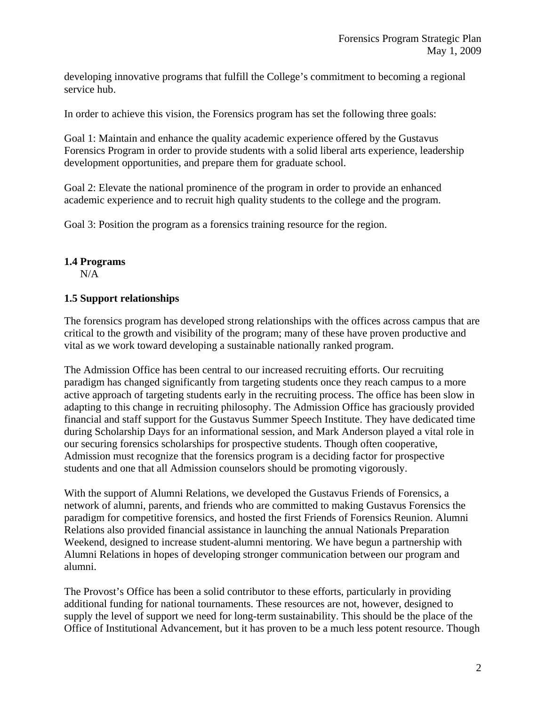developing innovative programs that fulfill the College's commitment to becoming a regional service hub.

In order to achieve this vision, the Forensics program has set the following three goals:

Goal 1: Maintain and enhance the quality academic experience offered by the Gustavus Forensics Program in order to provide students with a solid liberal arts experience, leadership development opportunities, and prepare them for graduate school.

Goal 2: Elevate the national prominence of the program in order to provide an enhanced academic experience and to recruit high quality students to the college and the program.

Goal 3: Position the program as a forensics training resource for the region.

## **1.4 Programs**

N/A

# **1.5 Support relationships**

The forensics program has developed strong relationships with the offices across campus that are critical to the growth and visibility of the program; many of these have proven productive and vital as we work toward developing a sustainable nationally ranked program.

The Admission Office has been central to our increased recruiting efforts. Our recruiting paradigm has changed significantly from targeting students once they reach campus to a more active approach of targeting students early in the recruiting process. The office has been slow in adapting to this change in recruiting philosophy. The Admission Office has graciously provided financial and staff support for the Gustavus Summer Speech Institute. They have dedicated time during Scholarship Days for an informational session, and Mark Anderson played a vital role in our securing forensics scholarships for prospective students. Though often cooperative, Admission must recognize that the forensics program is a deciding factor for prospective students and one that all Admission counselors should be promoting vigorously.

With the support of Alumni Relations, we developed the Gustavus Friends of Forensics, a network of alumni, parents, and friends who are committed to making Gustavus Forensics the paradigm for competitive forensics, and hosted the first Friends of Forensics Reunion. Alumni Relations also provided financial assistance in launching the annual Nationals Preparation Weekend, designed to increase student-alumni mentoring. We have begun a partnership with Alumni Relations in hopes of developing stronger communication between our program and alumni.

The Provost's Office has been a solid contributor to these efforts, particularly in providing additional funding for national tournaments. These resources are not, however, designed to supply the level of support we need for long-term sustainability. This should be the place of the Office of Institutional Advancement, but it has proven to be a much less potent resource. Though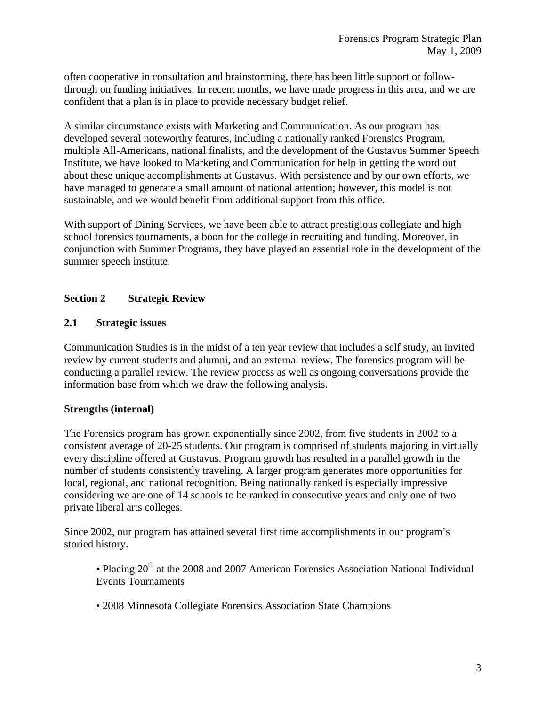often cooperative in consultation and brainstorming, there has been little support or followthrough on funding initiatives. In recent months, we have made progress in this area, and we are confident that a plan is in place to provide necessary budget relief.

A similar circumstance exists with Marketing and Communication. As our program has developed several noteworthy features, including a nationally ranked Forensics Program, multiple All-Americans, national finalists, and the development of the Gustavus Summer Speech Institute, we have looked to Marketing and Communication for help in getting the word out about these unique accomplishments at Gustavus. With persistence and by our own efforts, we have managed to generate a small amount of national attention; however, this model is not sustainable, and we would benefit from additional support from this office.

With support of Dining Services, we have been able to attract prestigious collegiate and high school forensics tournaments, a boon for the college in recruiting and funding. Moreover, in conjunction with Summer Programs, they have played an essential role in the development of the summer speech institute.

# **Section 2 Strategic Review**

## **2.1 Strategic issues**

Communication Studies is in the midst of a ten year review that includes a self study, an invited review by current students and alumni, and an external review. The forensics program will be conducting a parallel review. The review process as well as ongoing conversations provide the information base from which we draw the following analysis.

# **Strengths (internal)**

The Forensics program has grown exponentially since 2002, from five students in 2002 to a consistent average of 20-25 students. Our program is comprised of students majoring in virtually every discipline offered at Gustavus. Program growth has resulted in a parallel growth in the number of students consistently traveling. A larger program generates more opportunities for local, regional, and national recognition. Being nationally ranked is especially impressive considering we are one of 14 schools to be ranked in consecutive years and only one of two private liberal arts colleges.

Since 2002, our program has attained several first time accomplishments in our program's storied history.

- Placing 20<sup>th</sup> at the 2008 and 2007 American Forensics Association National Individual Events Tournaments
- 2008 Minnesota Collegiate Forensics Association State Champions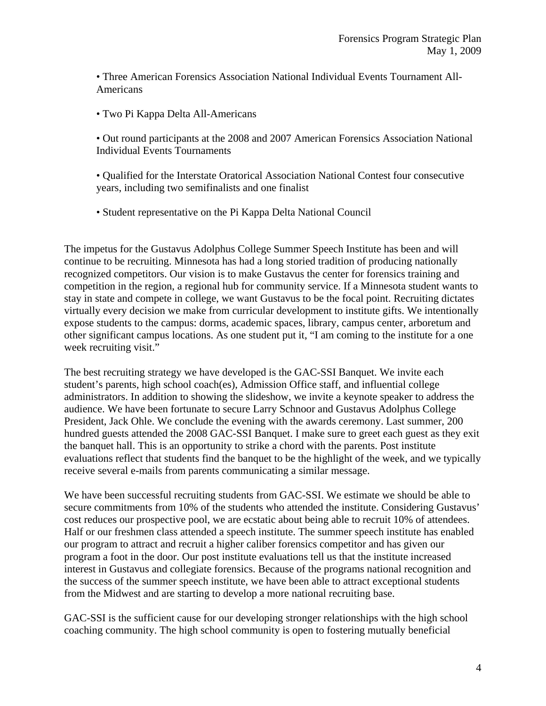• Three American Forensics Association National Individual Events Tournament All-Americans

• Two Pi Kappa Delta All-Americans

• Out round participants at the 2008 and 2007 American Forensics Association National Individual Events Tournaments

• Qualified for the Interstate Oratorical Association National Contest four consecutive years, including two semifinalists and one finalist

• Student representative on the Pi Kappa Delta National Council

The impetus for the Gustavus Adolphus College Summer Speech Institute has been and will continue to be recruiting. Minnesota has had a long storied tradition of producing nationally recognized competitors. Our vision is to make Gustavus the center for forensics training and competition in the region, a regional hub for community service. If a Minnesota student wants to stay in state and compete in college, we want Gustavus to be the focal point. Recruiting dictates virtually every decision we make from curricular development to institute gifts. We intentionally expose students to the campus: dorms, academic spaces, library, campus center, arboretum and other significant campus locations. As one student put it, "I am coming to the institute for a one week recruiting visit."

The best recruiting strategy we have developed is the GAC-SSI Banquet. We invite each student's parents, high school coach(es), Admission Office staff, and influential college administrators. In addition to showing the slideshow, we invite a keynote speaker to address the audience. We have been fortunate to secure Larry Schnoor and Gustavus Adolphus College President, Jack Ohle. We conclude the evening with the awards ceremony. Last summer, 200 hundred guests attended the 2008 GAC-SSI Banquet. I make sure to greet each guest as they exit the banquet hall. This is an opportunity to strike a chord with the parents. Post institute evaluations reflect that students find the banquet to be the highlight of the week, and we typically receive several e-mails from parents communicating a similar message.

We have been successful recruiting students from GAC-SSI. We estimate we should be able to secure commitments from 10% of the students who attended the institute. Considering Gustavus' cost reduces our prospective pool, we are ecstatic about being able to recruit 10% of attendees. Half or our freshmen class attended a speech institute. The summer speech institute has enabled our program to attract and recruit a higher caliber forensics competitor and has given our program a foot in the door. Our post institute evaluations tell us that the institute increased interest in Gustavus and collegiate forensics. Because of the programs national recognition and the success of the summer speech institute, we have been able to attract exceptional students from the Midwest and are starting to develop a more national recruiting base.

GAC-SSI is the sufficient cause for our developing stronger relationships with the high school coaching community. The high school community is open to fostering mutually beneficial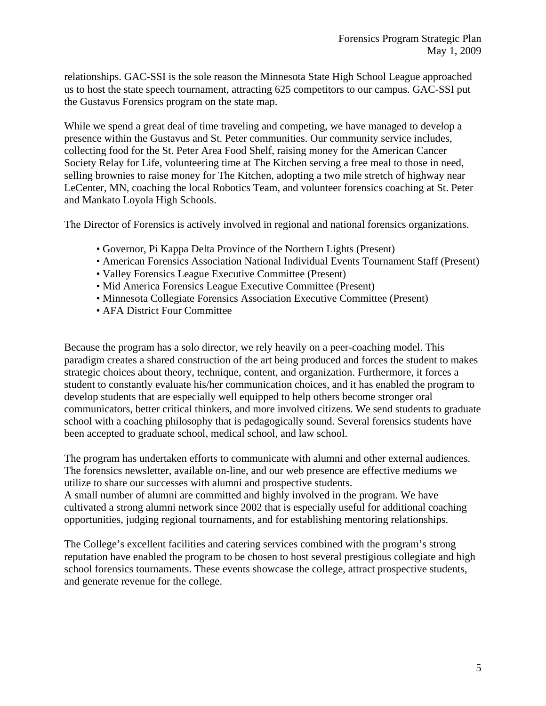relationships. GAC-SSI is the sole reason the Minnesota State High School League approached us to host the state speech tournament, attracting 625 competitors to our campus. GAC-SSI put the Gustavus Forensics program on the state map.

While we spend a great deal of time traveling and competing, we have managed to develop a presence within the Gustavus and St. Peter communities. Our community service includes, collecting food for the St. Peter Area Food Shelf, raising money for the American Cancer Society Relay for Life, volunteering time at The Kitchen serving a free meal to those in need, selling brownies to raise money for The Kitchen, adopting a two mile stretch of highway near LeCenter, MN, coaching the local Robotics Team, and volunteer forensics coaching at St. Peter and Mankato Loyola High Schools.

The Director of Forensics is actively involved in regional and national forensics organizations.

- Governor, Pi Kappa Delta Province of the Northern Lights (Present)
- American Forensics Association National Individual Events Tournament Staff (Present)
- Valley Forensics League Executive Committee (Present)
- Mid America Forensics League Executive Committee (Present)
- Minnesota Collegiate Forensics Association Executive Committee (Present)
- AFA District Four Committee

Because the program has a solo director, we rely heavily on a peer-coaching model. This paradigm creates a shared construction of the art being produced and forces the student to makes strategic choices about theory, technique, content, and organization. Furthermore, it forces a student to constantly evaluate his/her communication choices, and it has enabled the program to develop students that are especially well equipped to help others become stronger oral communicators, better critical thinkers, and more involved citizens. We send students to graduate school with a coaching philosophy that is pedagogically sound. Several forensics students have been accepted to graduate school, medical school, and law school.

The program has undertaken efforts to communicate with alumni and other external audiences. The forensics newsletter, available on-line, and our web presence are effective mediums we utilize to share our successes with alumni and prospective students.

A small number of alumni are committed and highly involved in the program. We have cultivated a strong alumni network since 2002 that is especially useful for additional coaching opportunities, judging regional tournaments, and for establishing mentoring relationships.

The College's excellent facilities and catering services combined with the program's strong reputation have enabled the program to be chosen to host several prestigious collegiate and high school forensics tournaments. These events showcase the college, attract prospective students, and generate revenue for the college.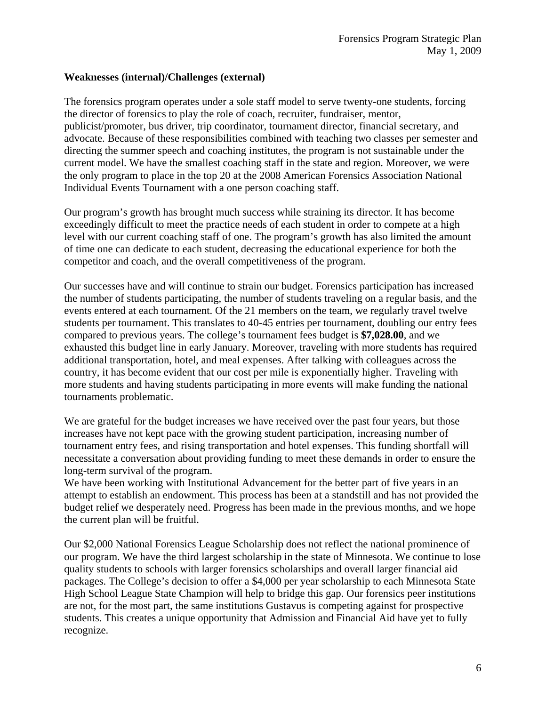#### **Weaknesses (internal)/Challenges (external)**

The forensics program operates under a sole staff model to serve twenty-one students, forcing the director of forensics to play the role of coach, recruiter, fundraiser, mentor, publicist/promoter, bus driver, trip coordinator, tournament director, financial secretary, and advocate. Because of these responsibilities combined with teaching two classes per semester and directing the summer speech and coaching institutes, the program is not sustainable under the current model. We have the smallest coaching staff in the state and region. Moreover, we were the only program to place in the top 20 at the 2008 American Forensics Association National Individual Events Tournament with a one person coaching staff.

Our program's growth has brought much success while straining its director. It has become exceedingly difficult to meet the practice needs of each student in order to compete at a high level with our current coaching staff of one. The program's growth has also limited the amount of time one can dedicate to each student, decreasing the educational experience for both the competitor and coach, and the overall competitiveness of the program.

Our successes have and will continue to strain our budget. Forensics participation has increased the number of students participating, the number of students traveling on a regular basis, and the events entered at each tournament. Of the 21 members on the team, we regularly travel twelve students per tournament. This translates to 40-45 entries per tournament, doubling our entry fees compared to previous years. The college's tournament fees budget is **\$7,028.00**, and we exhausted this budget line in early January. Moreover, traveling with more students has required additional transportation, hotel, and meal expenses. After talking with colleagues across the country, it has become evident that our cost per mile is exponentially higher. Traveling with more students and having students participating in more events will make funding the national tournaments problematic.

We are grateful for the budget increases we have received over the past four years, but those increases have not kept pace with the growing student participation, increasing number of tournament entry fees, and rising transportation and hotel expenses. This funding shortfall will necessitate a conversation about providing funding to meet these demands in order to ensure the long-term survival of the program.

We have been working with Institutional Advancement for the better part of five years in an attempt to establish an endowment. This process has been at a standstill and has not provided the budget relief we desperately need. Progress has been made in the previous months, and we hope the current plan will be fruitful.

Our \$2,000 National Forensics League Scholarship does not reflect the national prominence of our program. We have the third largest scholarship in the state of Minnesota. We continue to lose quality students to schools with larger forensics scholarships and overall larger financial aid packages. The College's decision to offer a \$4,000 per year scholarship to each Minnesota State High School League State Champion will help to bridge this gap. Our forensics peer institutions are not, for the most part, the same institutions Gustavus is competing against for prospective students. This creates a unique opportunity that Admission and Financial Aid have yet to fully recognize.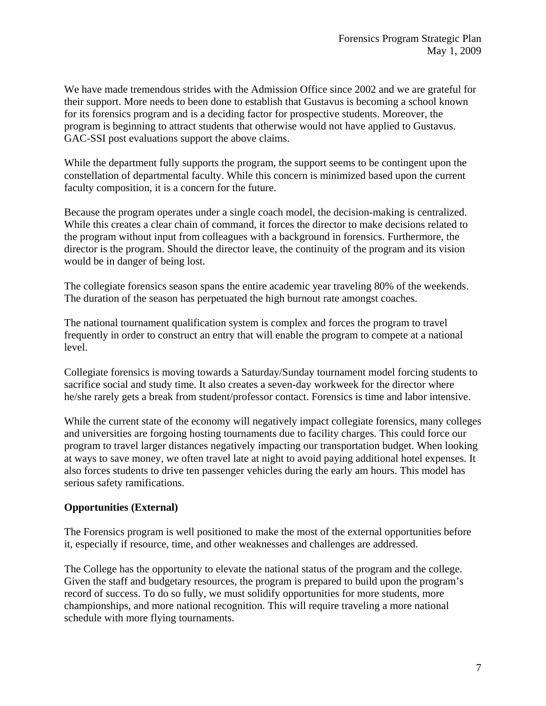We have made tremendous strides with the Admission Office since 2002 and we are grateful for their support. More needs to been done to establish that Gustavus is becoming a school known for its forensics program and is a deciding factor for prospective students. Moreover, the program is beginning to attract students that otherwise would not have applied to Gustavus. GAC-SSI post evaluations support the above claims.

While the department fully supports the program, the support seems to be contingent upon the constellation of departmental faculty. While this concern is minimized based upon the current faculty composition, it is a concern for the future.

Because the program operates under a single coach model, the decision-making is centralized. While this creates a clear chain of command, it forces the director to make decisions related to the program without input from colleagues with a background in forensics. Furthermore, the director is the program. Should the director leave, the continuity of the program and its vision would be in danger of being lost.

The collegiate forensics season spans the entire academic year traveling 80% of the weekends. The duration of the season has perpetuated the high burnout rate amongst coaches.

The national tournament qualification system is complex and forces the program to travel frequently in order to construct an entry that will enable the program to compete at a national level.

Collegiate forensics is moving towards a Saturday/Sunday tournament model forcing students to sacrifice social and study time. It also creates a seven-day workweek for the director where he/she rarely gets a break from student/professor contact. Forensics is time and labor intensive.

While the current state of the economy will negatively impact collegiate forensics, many colleges and universities are forgoing hosting tournaments due to facility charges. This could force our program to travel larger distances negatively impacting our transportation budget. When looking at ways to save money, we often travel late at night to avoid paying additional hotel expenses. It also forces students to drive ten passenger vehicles during the early am hours. This model has serious safety ramifications.

# **Opportunities (External)**

The Forensics program is well positioned to make the most of the external opportunities before it, especially if resource, time, and other weaknesses and challenges are addressed.

The College has the opportunity to elevate the national status of the program and the college. Given the staff and budgetary resources, the program is prepared to build upon the program's record of success. To do so fully, we must solidify opportunities for more students, more championships, and more national recognition. This will require traveling a more national schedule with more flying tournaments.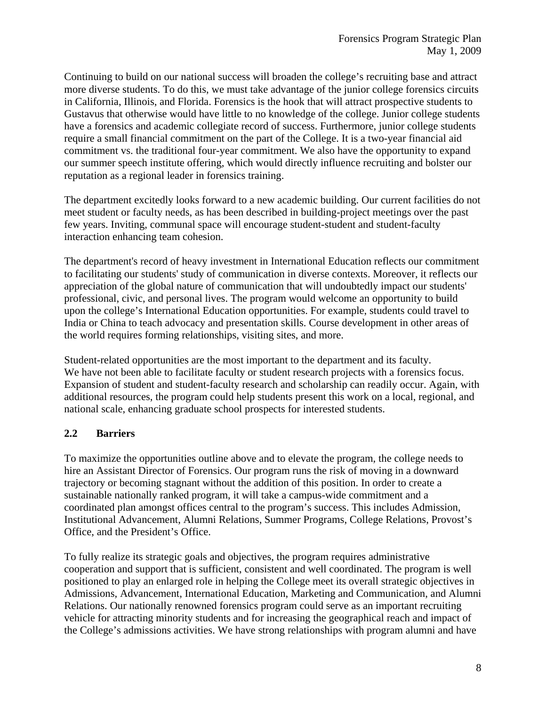Continuing to build on our national success will broaden the college's recruiting base and attract more diverse students. To do this, we must take advantage of the junior college forensics circuits in California, Illinois, and Florida. Forensics is the hook that will attract prospective students to Gustavus that otherwise would have little to no knowledge of the college. Junior college students have a forensics and academic collegiate record of success. Furthermore, junior college students require a small financial commitment on the part of the College. It is a two-year financial aid commitment vs. the traditional four-year commitment. We also have the opportunity to expand our summer speech institute offering, which would directly influence recruiting and bolster our reputation as a regional leader in forensics training.

The department excitedly looks forward to a new academic building. Our current facilities do not meet student or faculty needs, as has been described in building-project meetings over the past few years. Inviting, communal space will encourage student-student and student-faculty interaction enhancing team cohesion.

The department's record of heavy investment in International Education reflects our commitment to facilitating our students' study of communication in diverse contexts. Moreover, it reflects our appreciation of the global nature of communication that will undoubtedly impact our students' professional, civic, and personal lives. The program would welcome an opportunity to build upon the college's International Education opportunities. For example, students could travel to India or China to teach advocacy and presentation skills. Course development in other areas of the world requires forming relationships, visiting sites, and more.

Student-related opportunities are the most important to the department and its faculty. We have not been able to facilitate faculty or student research projects with a forensics focus. Expansion of student and student-faculty research and scholarship can readily occur. Again, with additional resources, the program could help students present this work on a local, regional, and national scale, enhancing graduate school prospects for interested students.

# **2.2 Barriers**

To maximize the opportunities outline above and to elevate the program, the college needs to hire an Assistant Director of Forensics. Our program runs the risk of moving in a downward trajectory or becoming stagnant without the addition of this position. In order to create a sustainable nationally ranked program, it will take a campus-wide commitment and a coordinated plan amongst offices central to the program's success. This includes Admission, Institutional Advancement, Alumni Relations, Summer Programs, College Relations, Provost's Office, and the President's Office.

To fully realize its strategic goals and objectives, the program requires administrative cooperation and support that is sufficient, consistent and well coordinated. The program is well positioned to play an enlarged role in helping the College meet its overall strategic objectives in Admissions, Advancement, International Education, Marketing and Communication, and Alumni Relations. Our nationally renowned forensics program could serve as an important recruiting vehicle for attracting minority students and for increasing the geographical reach and impact of the College's admissions activities. We have strong relationships with program alumni and have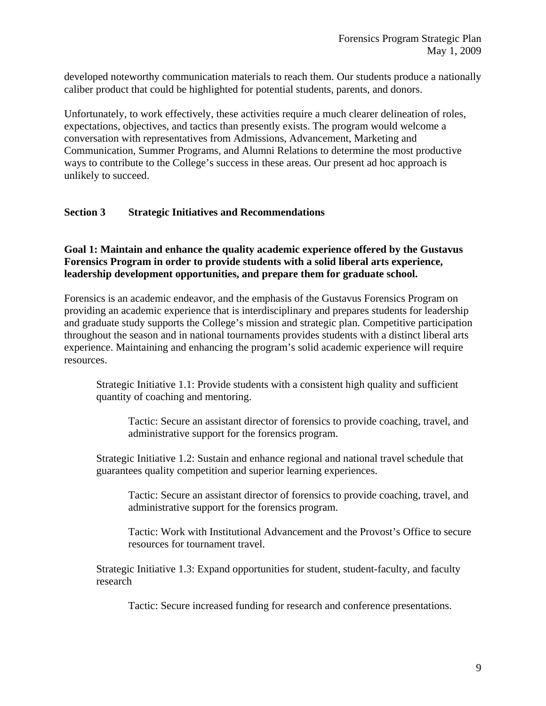developed noteworthy communication materials to reach them. Our students produce a nationally caliber product that could be highlighted for potential students, parents, and donors.

Unfortunately, to work effectively, these activities require a much clearer delineation of roles, expectations, objectives, and tactics than presently exists. The program would welcome a conversation with representatives from Admissions, Advancement, Marketing and Communication, Summer Programs, and Alumni Relations to determine the most productive ways to contribute to the College's success in these areas. Our present ad hoc approach is unlikely to succeed.

## **Section 3 Strategic Initiatives and Recommendations**

# **Goal 1: Maintain and enhance the quality academic experience offered by the Gustavus Forensics Program in order to provide students with a solid liberal arts experience, leadership development opportunities, and prepare them for graduate school.**

Forensics is an academic endeavor, and the emphasis of the Gustavus Forensics Program on providing an academic experience that is interdisciplinary and prepares students for leadership and graduate study supports the College's mission and strategic plan. Competitive participation throughout the season and in national tournaments provides students with a distinct liberal arts experience. Maintaining and enhancing the program's solid academic experience will require resources.

Strategic Initiative 1.1: Provide students with a consistent high quality and sufficient quantity of coaching and mentoring.

Tactic: Secure an assistant director of forensics to provide coaching, travel, and administrative support for the forensics program.

Strategic Initiative 1.2: Sustain and enhance regional and national travel schedule that guarantees quality competition and superior learning experiences.

Tactic: Secure an assistant director of forensics to provide coaching, travel, and administrative support for the forensics program.

Tactic: Work with Institutional Advancement and the Provost's Office to secure resources for tournament travel.

Strategic Initiative 1.3: Expand opportunities for student, student-faculty, and faculty research

Tactic: Secure increased funding for research and conference presentations.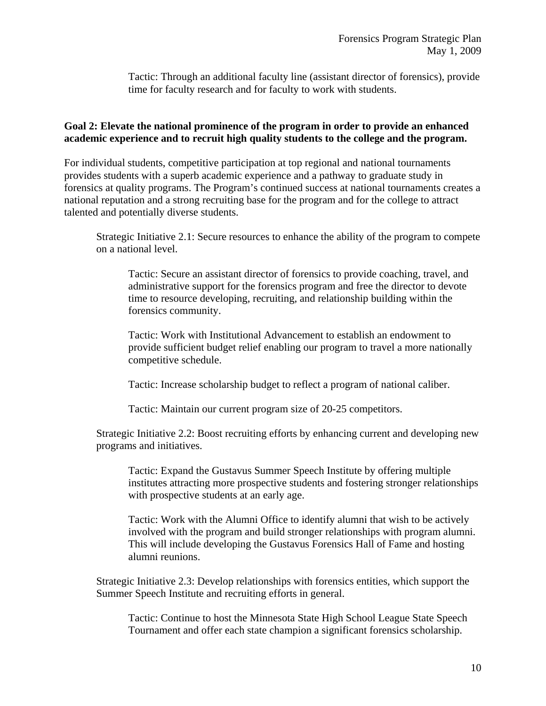Tactic: Through an additional faculty line (assistant director of forensics), provide time for faculty research and for faculty to work with students.

#### **Goal 2: Elevate the national prominence of the program in order to provide an enhanced academic experience and to recruit high quality students to the college and the program.**

For individual students, competitive participation at top regional and national tournaments provides students with a superb academic experience and a pathway to graduate study in forensics at quality programs. The Program's continued success at national tournaments creates a national reputation and a strong recruiting base for the program and for the college to attract talented and potentially diverse students.

Strategic Initiative 2.1: Secure resources to enhance the ability of the program to compete on a national level.

Tactic: Secure an assistant director of forensics to provide coaching, travel, and administrative support for the forensics program and free the director to devote time to resource developing, recruiting, and relationship building within the forensics community.

Tactic: Work with Institutional Advancement to establish an endowment to provide sufficient budget relief enabling our program to travel a more nationally competitive schedule.

Tactic: Increase scholarship budget to reflect a program of national caliber.

Tactic: Maintain our current program size of 20-25 competitors.

Strategic Initiative 2.2: Boost recruiting efforts by enhancing current and developing new programs and initiatives.

Tactic: Expand the Gustavus Summer Speech Institute by offering multiple institutes attracting more prospective students and fostering stronger relationships with prospective students at an early age.

Tactic: Work with the Alumni Office to identify alumni that wish to be actively involved with the program and build stronger relationships with program alumni. This will include developing the Gustavus Forensics Hall of Fame and hosting alumni reunions.

Strategic Initiative 2.3: Develop relationships with forensics entities, which support the Summer Speech Institute and recruiting efforts in general.

Tactic: Continue to host the Minnesota State High School League State Speech Tournament and offer each state champion a significant forensics scholarship.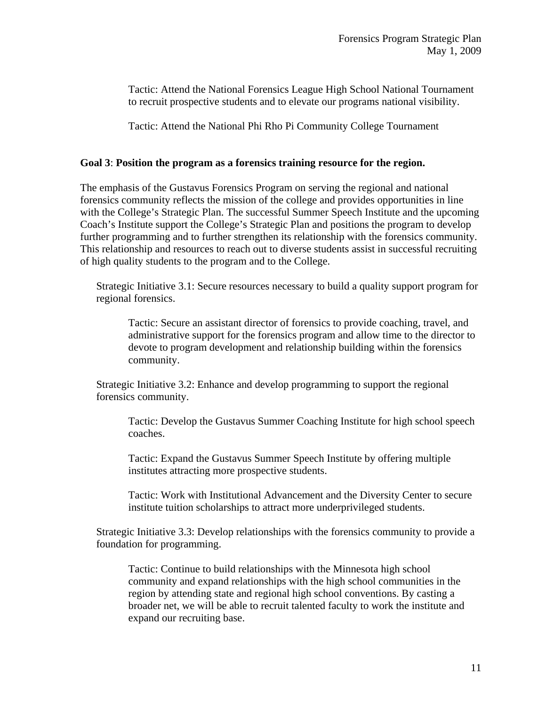Tactic: Attend the National Forensics League High School National Tournament to recruit prospective students and to elevate our programs national visibility.

Tactic: Attend the National Phi Rho Pi Community College Tournament

#### **Goal 3**: **Position the program as a forensics training resource for the region.**

The emphasis of the Gustavus Forensics Program on serving the regional and national forensics community reflects the mission of the college and provides opportunities in line with the College's Strategic Plan. The successful Summer Speech Institute and the upcoming Coach's Institute support the College's Strategic Plan and positions the program to develop further programming and to further strengthen its relationship with the forensics community. This relationship and resources to reach out to diverse students assist in successful recruiting of high quality students to the program and to the College.

Strategic Initiative 3.1: Secure resources necessary to build a quality support program for regional forensics.

Tactic: Secure an assistant director of forensics to provide coaching, travel, and administrative support for the forensics program and allow time to the director to devote to program development and relationship building within the forensics community.

Strategic Initiative 3.2: Enhance and develop programming to support the regional forensics community.

Tactic: Develop the Gustavus Summer Coaching Institute for high school speech coaches.

Tactic: Expand the Gustavus Summer Speech Institute by offering multiple institutes attracting more prospective students.

Tactic: Work with Institutional Advancement and the Diversity Center to secure institute tuition scholarships to attract more underprivileged students.

Strategic Initiative 3.3: Develop relationships with the forensics community to provide a foundation for programming.

Tactic: Continue to build relationships with the Minnesota high school community and expand relationships with the high school communities in the region by attending state and regional high school conventions. By casting a broader net, we will be able to recruit talented faculty to work the institute and expand our recruiting base.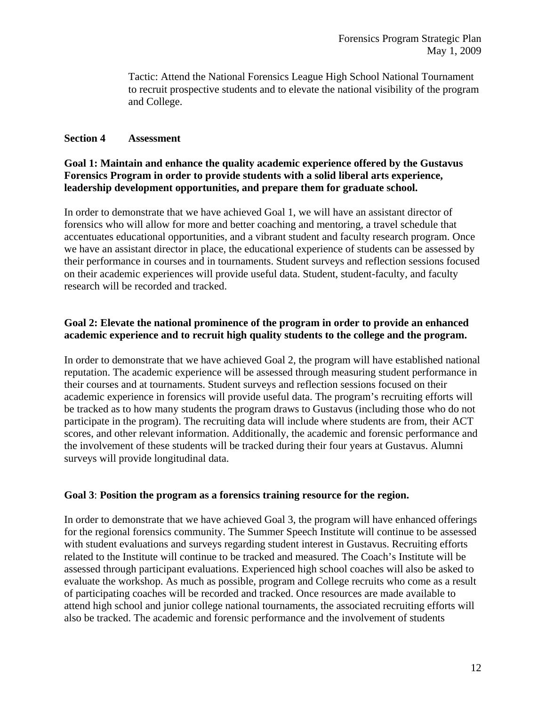Tactic: Attend the National Forensics League High School National Tournament to recruit prospective students and to elevate the national visibility of the program and College.

## **Section 4 Assessment**

## **Goal 1: Maintain and enhance the quality academic experience offered by the Gustavus Forensics Program in order to provide students with a solid liberal arts experience, leadership development opportunities, and prepare them for graduate school.**

In order to demonstrate that we have achieved Goal 1, we will have an assistant director of forensics who will allow for more and better coaching and mentoring, a travel schedule that accentuates educational opportunities, and a vibrant student and faculty research program. Once we have an assistant director in place, the educational experience of students can be assessed by their performance in courses and in tournaments. Student surveys and reflection sessions focused on their academic experiences will provide useful data. Student, student-faculty, and faculty research will be recorded and tracked.

# **Goal 2: Elevate the national prominence of the program in order to provide an enhanced academic experience and to recruit high quality students to the college and the program.**

In order to demonstrate that we have achieved Goal 2, the program will have established national reputation. The academic experience will be assessed through measuring student performance in their courses and at tournaments. Student surveys and reflection sessions focused on their academic experience in forensics will provide useful data. The program's recruiting efforts will be tracked as to how many students the program draws to Gustavus (including those who do not participate in the program). The recruiting data will include where students are from, their ACT scores, and other relevant information. Additionally, the academic and forensic performance and the involvement of these students will be tracked during their four years at Gustavus. Alumni surveys will provide longitudinal data.

#### **Goal 3**: **Position the program as a forensics training resource for the region.**

In order to demonstrate that we have achieved Goal 3, the program will have enhanced offerings for the regional forensics community. The Summer Speech Institute will continue to be assessed with student evaluations and surveys regarding student interest in Gustavus. Recruiting efforts related to the Institute will continue to be tracked and measured. The Coach's Institute will be assessed through participant evaluations. Experienced high school coaches will also be asked to evaluate the workshop. As much as possible, program and College recruits who come as a result of participating coaches will be recorded and tracked. Once resources are made available to attend high school and junior college national tournaments, the associated recruiting efforts will also be tracked. The academic and forensic performance and the involvement of students